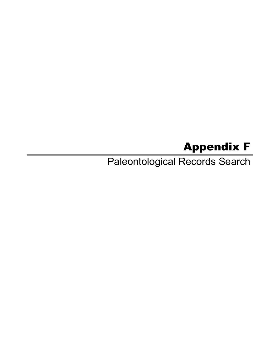## Appendix F

Paleontological Records Search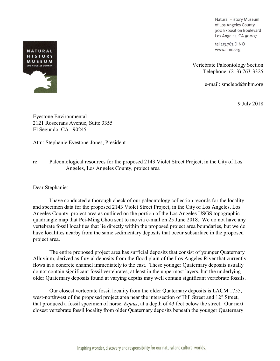Natural History Museum of Los Angeles County 900 Exposition Boulevard Los Angeles, CA 90007

tel 213.763.DINO www.nhm.org

Vertebrate Paleontology Section Telephone: (213) 763-3325

e-mail: smcleod@nhm.org

9 July 2018

Eyestone Environmental 2121 Rosecrans Avenue, Suite 3355 El Segundo, CA 90245

Attn: Stephanie Eyestone-Jones, President

## re: Paleontological resources for the proposed 2143 Violet Street Project, in the City of Los Angeles, Los Angeles County, project area

Dear Stephanie:

I have conducted a thorough check of our paleontology collection records for the locality and specimen data for the proposed 2143 Violet Street Project, in the City of Los Angeles, Los Angeles County, project area as outlined on the portion of the Los Angeles USGS topographic quadrangle map that Pei-Ming Chou sent to me via e-mail on 25 June 2018. We do not have any vertebrate fossil localities that lie directly within the proposed project area boundaries, but we do have localities nearby from the same sedimentary deposits that occur subsurface in the proposed project area.

The entire proposed project area has surficial deposits that consist of younger Quaternary Alluvium, derived as fluvial deposits from the flood plain of the Los Angeles River that currently flows in a concrete channel immediately to the east. These younger Quaternary deposits usually do not contain significant fossil vertebrates, at least in the uppermost layers, but the underlying older Quaternary deposits found at varying depths may well contain significant vertebrate fossils.

Our closest vertebrate fossil locality from the older Quaternary deposits is LACM 1755, west-northwest of the proposed project area near the intersection of Hill Street and 12<sup>th</sup> Street, that produced a fossil specimen of horse, *Equus*, at a depth of 43 feet below the street. Our next closest vertebrate fossil locality from older Quaternary deposits beneath the younger Quaternary